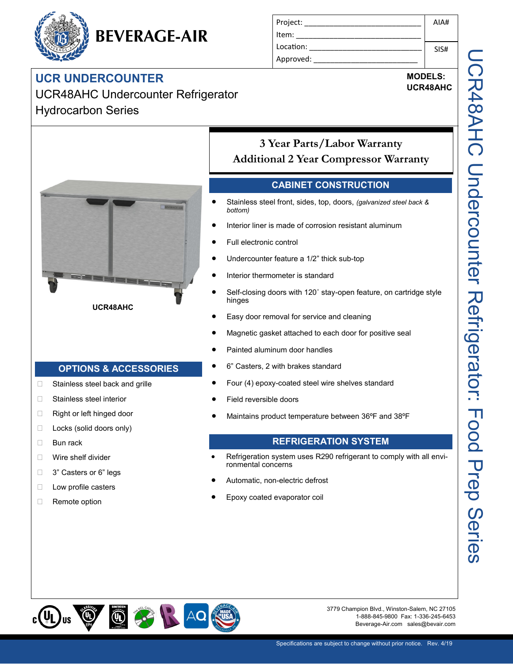# **BEVERAGE-AIR**

### **UCR UNDERCOUNTER**

UCR48AHC Undercounter Refrigerator Hydrocarbon Series

| Project:  | AIAH |
|-----------|------|
| Item:     |      |
| Location: | SIS# |
| Approved: |      |

## **MODELS:**

**UCR48AHC**



**UCR48AHC**

#### **OPTIONS & ACCESSORIES**

- □ Stainless steel back and grille
- □ Stainless steel interior
- □ Right or left hinged door
- D Locks (solid doors only)
- **Bun rack**
- **Nire shelf divider**
- □ 3" Casters or 6" legs
- **Low profile casters**
- Remote option

**3 Year Parts/Labor Warranty Additional 2 Year Compressor Warranty**

#### **CABINET CONSTRUCTION**

- Stainless steel front, sides, top, doors, *(galvanized steel back & bottom)*
- Interior liner is made of corrosion resistant aluminum
- Full electronic control
- Undercounter feature a 1/2" thick sub-top
- Interior thermometer is standard
- Self-closing doors with 120˚ stay-open feature, on cartridge style hinges
- Easy door removal for service and cleaning
- Magnetic gasket attached to each door for positive seal
- Painted aluminum door handles
- 6" Casters, 2 with brakes standard
- Four (4) epoxy-coated steel wire shelves standard
- Field reversible doors
- Maintains product temperature between 36ºF and 38ºF

#### **REFRIGERATION SYSTEM**

- Refrigeration system uses R290 refrigerant to comply with all environmental concerns
- Automatic, non-electric defrost
- Epoxy coated evaporator coil



3779 Champion Blvd., Winston-Salem, NC 27105 1-888-845-9800 Fax: 1-336-245-6453 Beverage-Air.com sales@bevair.com